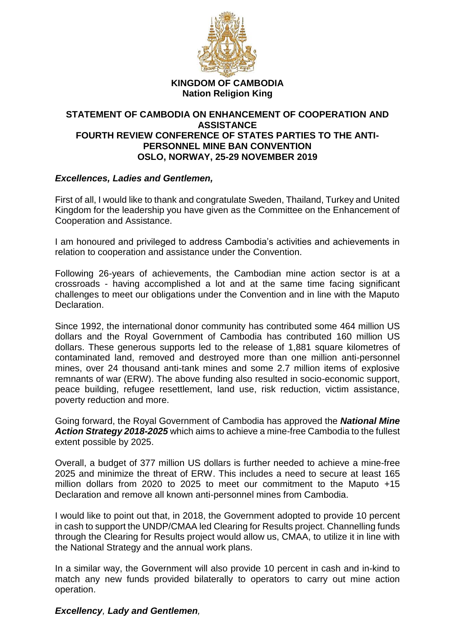

**KINGDOM OF CAMBODIA Nation Religion King**

## **STATEMENT OF CAMBODIA ON ENHANCEMENT OF COOPERATION AND ASSISTANCE FOURTH REVIEW CONFERENCE OF STATES PARTIES TO THE ANTI-PERSONNEL MINE BAN CONVENTION OSLO, NORWAY, 25-29 NOVEMBER 2019**

## *Excellences, Ladies and Gentlemen,*

First of all, I would like to thank and congratulate Sweden, Thailand, Turkey and United Kingdom for the leadership you have given as the Committee on the Enhancement of Cooperation and Assistance.

I am honoured and privileged to address Cambodia's activities and achievements in relation to cooperation and assistance under the Convention.

Following 26-years of achievements, the Cambodian mine action sector is at a crossroads - having accomplished a lot and at the same time facing significant challenges to meet our obligations under the Convention and in line with the Maputo Declaration.

Since 1992, the international donor community has contributed some 464 million US dollars and the Royal Government of Cambodia has contributed 160 million US dollars. These generous supports led to the release of 1,881 square kilometres of contaminated land, removed and destroyed more than one million anti-personnel mines, over 24 thousand anti-tank mines and some 2.7 million items of explosive remnants of war (ERW). The above funding also resulted in socio-economic support, peace building, refugee resettlement, land use, risk reduction, victim assistance, poverty reduction and more.

Going forward, the Royal Government of Cambodia has approved the *National Mine Action Strategy 2018-2025* which aims to achieve a mine-free Cambodia to the fullest extent possible by 2025.

Overall, a budget of 377 million US dollars is further needed to achieve a mine-free 2025 and minimize the threat of ERW. This includes a need to secure at least 165 million dollars from 2020 to 2025 to meet our commitment to the Maputo +15 Declaration and remove all known anti-personnel mines from Cambodia.

I would like to point out that, in 2018, the Government adopted to provide 10 percent in cash to support the UNDP/CMAA led Clearing for Results project. Channelling funds through the Clearing for Results project would allow us, CMAA, to utilize it in line with the National Strategy and the annual work plans.

In a similar way, the Government will also provide 10 percent in cash and in-kind to match any new funds provided bilaterally to operators to carry out mine action operation.

*Excellency, Lady and Gentlemen,*